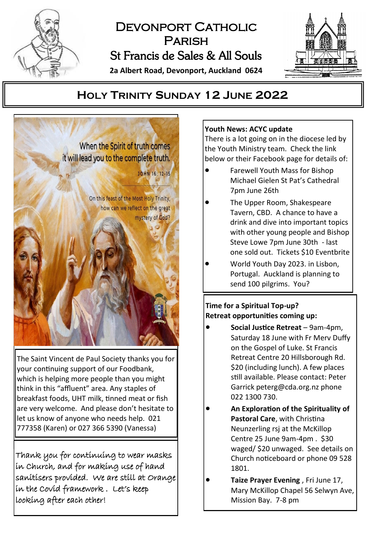

# DEVONPORT CATHOLIC **PARISH** St Francis de Sales & All Souls

**2a Albert Road, Devonport, Auckland 0624**



## **HOLY TRINITY SUNDAY 12 JUNE 2022**



The Saint Vincent de Paul Society thanks you for your continuing support of our Foodbank, which is helping more people than you might think in this "affluent" area. Any staples of breakfast foods, UHT milk, tinned meat or fish are very welcome. And please don't hesitate to let us know of anyone who needs help. 021 777358 (Karen) or 027 366 5390 (Vanessa)

Thank you for continuing to wear masks in Church, and for making use of hand sanitisers provided. We are still at Orange in the Covid framework . Let's keep looking after each other!

### **Youth News: ACYC update**

There is a lot going on in the diocese led by the Youth Ministry team. Check the link below or their Facebook page for details of:

- Farewell Youth Mass for Bishop Michael Gielen St Pat's Cathedral 7pm June 26th
- The Upper Room, Shakespeare Tavern, CBD. A chance to have a drink and dive into important topics with other young people and Bishop Steve Lowe 7pm June 30th - last one sold out. Tickets \$10 Eventbrite
- World Youth Day 2023. in Lisbon, Portugal. Auckland is planning to send 100 pilgrims. You?

## **Time for a Spiritual Top-up? Retreat opportunities coming up:**

- **Social Justice Retreat**  9am-4pm, Saturday 18 June with Fr Merv Duffy on the Gospel of Luke. St Francis Retreat Centre 20 Hillsborough Rd. \$20 (including lunch). A few places still available. Please contact: Peter Garrick peterg@cda.org.nz phone 022 1300 730.
- **An Exploration of the Spirituality of Pastoral Care**, with Christina Neunzerling rsj at the McKillop Centre 25 June 9am-4pm . \$30 waged/ \$20 unwaged. See details on Church noticeboard or phone 09 528 1801.
- **Taize Prayer Evening** , Fri June 17, Mary McKillop Chapel 56 Selwyn Ave, Mission Bay. 7-8 pm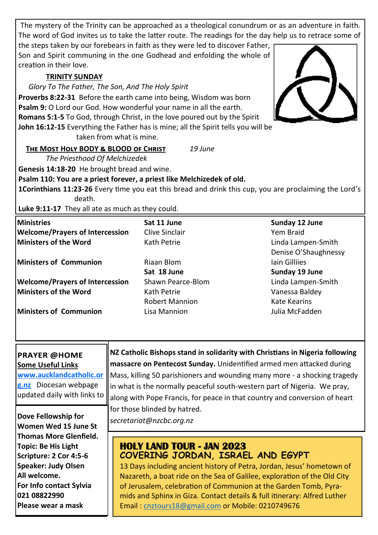The mystery of the Trinity can be approached as a theological conundrum or as an adventure in faith. The word of God invites us to take the latter route. The readings for the day help us to retrace some of

the steps taken by our forebears in faith as they were led to discover Father, Son and Spirit communing in the one Godhead and enfolding the whole of creation in their love.

#### **TRINITY SUNDAY**

*Glory To The Father, The Son, And The Holy Spirit*

**Proverbs 8:22-31** Before the earth came into being, Wisdom was born **Psalm 9:** O Lord our God. How wonderful your name in all the earth. **Romans 5:1-5** To God, through Christ, in the love poured out by the Spirit **John 16:12-15** Everything the Father has is mine; all the Spirit tells you will be

taken from what is mine.

**The Most Holy BODY & BLOOD of Christ** *19 June*

*The Priesthood Of Melchizedek*

**Genesis 14:18-20** He brought bread and wine.

**Psalm 110: You are a priest forever, a priest like Melchizedek of old.**

**1Corinthians 11:23-26** Every time you eat this bread and drink this cup, you are proclaiming the Lord's death.

**Luke 9:11-17** They all ate as much as they could.

| Ministries                             | Sat 11 June           | Sunday 12 June       |
|----------------------------------------|-----------------------|----------------------|
| <b>Welcome/Prayers of Intercession</b> | Clive Sinclair        | Yem Braid            |
| Ministers of the Word                  | Kath Petrie           | Linda Lampen-Smith   |
|                                        |                       | Denise O'Shaughnessy |
| Ministers of Communion                 | Riaan Blom            | <b>Iain Gillijes</b> |
|                                        | Sat 18 June           | Sunday 19 June       |
| <b>Welcome/Prayers of Intercession</b> | Shawn Pearce-Blom     | Linda Lampen-Smith   |
| Ministers of the Word                  | Kath Petrie           | Vanessa Baldey       |
|                                        | <b>Robert Mannion</b> | Kate Kearins         |
| Ministers of Communion                 | Lisa Mannion          | Julia McFadden       |

#### **PRAYER @HOME Some Useful Links**

**[www.aucklandcatholic.or](http://www.aucklandcatholic.org.nz) [g.nz](http://www.aucklandcatholic.org.nz)** Diocesan webpage updated daily with links to

**Dove Fellowship for example 2** *secretariat@nzcbc.org.nz* **Women Wed 15 June St Thomas More Glenfield. Topic: Be His Light Scripture: 2 Cor 4:5-6 Speaker: Judy Olsen All welcome. For Info contact Sylvia 021 08822990 Please wear a mask**

**NZ Catholic Bishops stand in solidarity with Christians in Nigeria following massacre on Pentecost Sunday.** Unidentified armed men attacked during Mass, killing 50 parishioners and wounding many more - a shocking tragedy in what is the normally peaceful south-western part of Nigeria. We pray, along with Pope Francis, for peace in that country and conversion of heart for those blinded by hatred.

## **HOLY LAND TOUR - JAN 2023 COVERING JORDAN, ISRAEL AND EGYPT**

13 Days including ancient history of Petra, Jordan, Jesus' hometown of Nazareth, a boat ride on the Sea of Galilee, exploration of the Old City of Jerusalem, celebration of Communion at the Garden Tomb, Pyramids and Sphinx in Giza. Contact details & full itinerary: Alfred Luther Email : [cnztours18@gmail.com](mailto:cnztours18@gmail.com) or Mobile: 0210749676

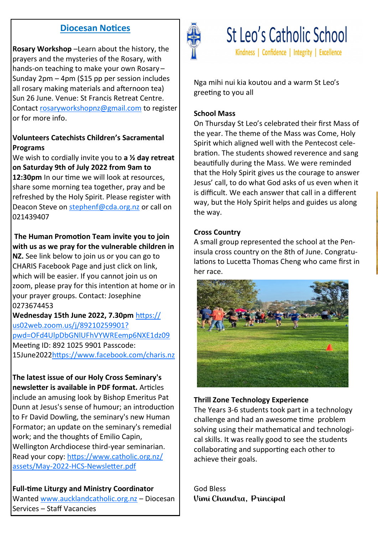## **Diocesan Notices**

**Rosary Workshop** –Learn about the history, the prayers and the mysteries of the Rosary, with hands-on teaching to make your own Rosary – Sunday 2pm – 4pm (\$15 pp per session includes all rosary making materials and afternoon tea) Sun 26 June. Venue: St Francis Retreat Centre. Contact [rosaryworkshopnz@gmail.com](mailto:rosaryworkshopnz@gmail.com) to register or for more info.

## **Volunteers Catechists Children's Sacramental Programs**

We wish to cordially invite you to **a ½ day retreat on Saturday 9th of July 2022 from 9am to** 

**12:30pm** In our time we will look at resources. share some morning tea together, pray and be refreshed by the Holy Spirit. Please register with Deacon Steve on [stephenf@cda.org.nz](mailto:stephenf@cda.org.nz) or call on 021439407

## **The Human Promotion Team invite you to join with us as we pray for the vulnerable children in**

**NZ.** See link below to join us or you can go to CHARIS Facebook Page and just click on link, which will be easier. If you cannot join us on zoom, please pray for this intention at home or in your prayer groups. Contact: Josephine 0273674453

**Wednesday 15th June 2022, 7.30pm** [https://](https://us02web.zoom.us/j/89210259901?pwd=OFd4UlpDbGNlUFhVYWREemp6NXE1dz09) [us02web.zoom.us/j/89210259901?](https://us02web.zoom.us/j/89210259901?pwd=OFd4UlpDbGNlUFhVYWREemp6NXE1dz09) [pwd=OFd4UlpDbGNlUFhVYWREemp6NXE1dz09](https://us02web.zoom.us/j/89210259901?pwd=OFd4UlpDbGNlUFhVYWREemp6NXE1dz09) Meeting ID: 892 1025 9901 Passcode: 15June2022<https://www.facebook.com/charis.nz>

**The latest issue of our Holy Cross Seminary's newsletter is available in PDF format.** Articles include an amusing look by Bishop Emeritus Pat Dunn at Jesus's sense of humour; an introduction to Fr David Dowling, the seminary's new Human Formator; an update on the seminary's remedial work; and the thoughts of Emilio Capin, Wellington Archdiocese third-year seminarian. Read your copy: [https://www.catholic.org.nz/](https://www.catholic.org.nz/assets/May-2022-HCS-Newsletter.pdf) assets/May-2022-HCS-[Newsletter.pdf](https://www.catholic.org.nz/assets/May-2022-HCS-Newsletter.pdf)

**Full-time Liturgy and Ministry Coordinator**  Wanted [www.aucklandcatholic.org.nz](http://www.aucklandcatholic.org.nz) – Diocesan Services – Staff Vacancies



St Leo's Catholic School Kindness | Confidence | Integrity | Excellence

Nga mihi nui kia koutou and a warm St Leo's greeting to you all

#### **School Mass**

On Thursday St Leo's celebrated their first Mass of the year. The theme of the Mass was Come, Holy Spirit which aligned well with the Pentecost celebration. The students showed reverence and sang beautifully during the Mass. We were reminded that the Holy Spirit gives us the courage to answer Jesus' call, to do what God asks of us even when it is difficult. We each answer that call in a different way, but the Holy Spirit helps and guides us along the way.

### **Cross Country**

A small group represented the school at the Peninsula cross country on the 8th of June. Congratulations to Lucetta Thomas Cheng who came first in her race.



## **Thrill Zone Technology Experience**

The Years 3-6 students took part in a technology challenge and had an awesome time problem solving using their mathematical and technological skills. It was really good to see the students collaborating and supporting each other to achieve their goals.

God Bless Vimi Chandra, Principal